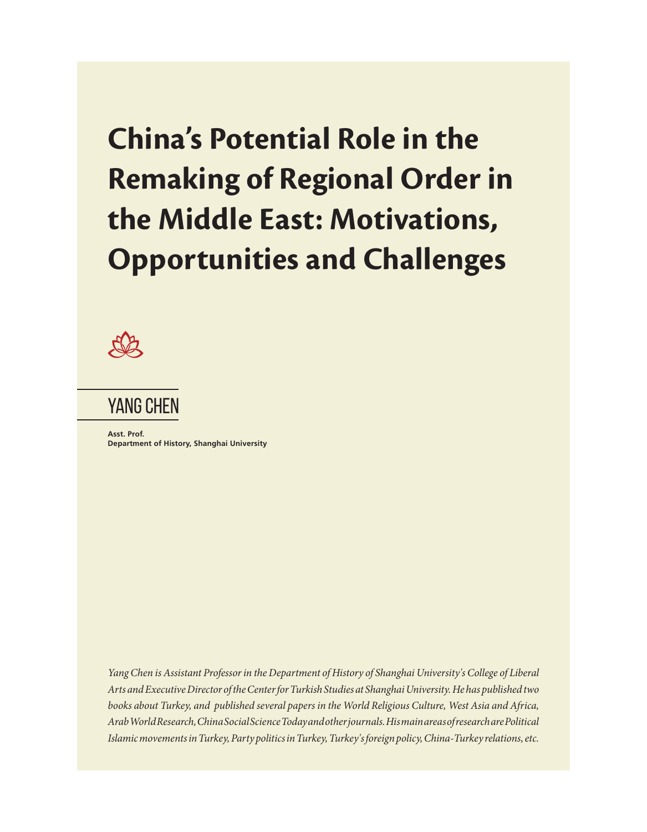# **China's Potential Role in the Remaking of Regional Order in the Middle East: Motivations, Opportunities and Challenges**



# YANG CHEN

**Asst. Prof. Department of History, Shanghai University** 

*Yang Chen is Assistant Professor in the Department of History of Shanghai University's College of Liberal Arts and Executive Director of the Center for Turkish Studies at Shanghai University. He has published two books about Turkey, and published several papers in the World Religious Culture, West Asia and Africa, Arab World Research, China Social Science Today and other journals. His main areas of research are Political Islamic movements in Turkey, Party politics in Turkey, Turkey's foreign policy, China-Turkey relations, etc.*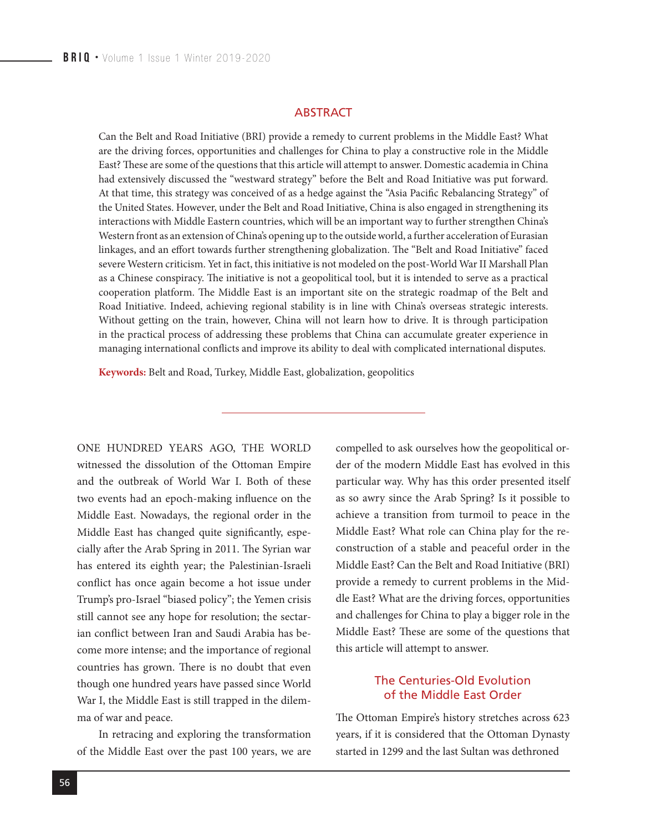#### **ARSTRACT**

Can the Belt and Road Initiative (BRI) provide a remedy to current problems in the Middle East? What are the driving forces, opportunities and challenges for China to play a constructive role in the Middle East? These are some of the questions that this article will attempt to answer. Domestic academia in China had extensively discussed the "westward strategy" before the Belt and Road Initiative was put forward. At that time, this strategy was conceived of as a hedge against the "Asia Pacific Rebalancing Strategy" of the United States. However, under the Belt and Road Initiative, China is also engaged in strengthening its interactions with Middle Eastern countries, which will be an important way to further strengthen China's Western front as an extension of China's opening up to the outside world, a further acceleration of Eurasian linkages, and an effort towards further strengthening globalization. The "Belt and Road Initiative" faced severe Western criticism. Yet in fact, this initiative is not modeled on the post-World War II Marshall Plan as a Chinese conspiracy. The initiative is not a geopolitical tool, but it is intended to serve as a practical cooperation platform. The Middle East is an important site on the strategic roadmap of the Belt and Road Initiative. Indeed, achieving regional stability is in line with China's overseas strategic interests. Without getting on the train, however, China will not learn how to drive. It is through participation in the practical process of addressing these problems that China can accumulate greater experience in managing international conflicts and improve its ability to deal with complicated international disputes.

**Keywords:** Belt and Road, Turkey, Middle East, globalization, geopolitics

ONE HUNDRED YEARS AGO, THE WORLD witnessed the dissolution of the Ottoman Empire and the outbreak of World War I. Both of these two events had an epoch-making influence on the Middle East. Nowadays, the regional order in the Middle East has changed quite significantly, especially after the Arab Spring in 2011. The Syrian war has entered its eighth year; the Palestinian-Israeli conflict has once again become a hot issue under Trump's pro-Israel "biased policy"; the Yemen crisis still cannot see any hope for resolution; the sectarian conflict between Iran and Saudi Arabia has become more intense; and the importance of regional countries has grown. There is no doubt that even though one hundred years have passed since World War I, the Middle East is still trapped in the dilemma of war and peace.

In retracing and exploring the transformation of the Middle East over the past 100 years, we are

compelled to ask ourselves how the geopolitical order of the modern Middle East has evolved in this particular way. Why has this order presented itself as so awry since the Arab Spring? Is it possible to achieve a transition from turmoil to peace in the Middle East? What role can China play for the reconstruction of a stable and peaceful order in the Middle East? Can the Belt and Road Initiative (BRI) provide a remedy to current problems in the Middle East? What are the driving forces, opportunities and challenges for China to play a bigger role in the Middle East? These are some of the questions that this article will attempt to answer.

### The Centuries-Old Evolution of the Middle East Order

The Ottoman Empire's history stretches across 623 years, if it is considered that the Ottoman Dynasty started in 1299 and the last Sultan was dethroned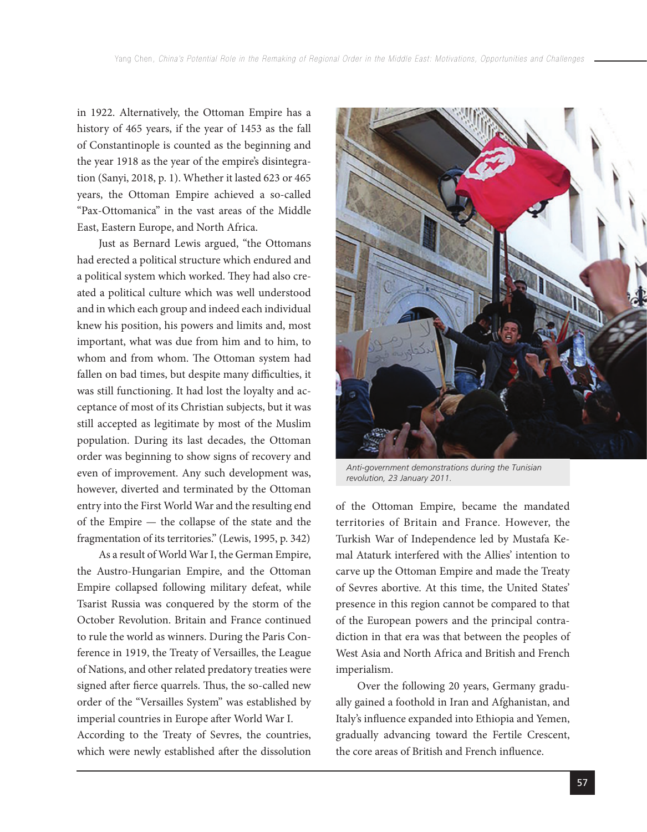in 1922. Alternatively, the Ottoman Empire has a history of 465 years, if the year of 1453 as the fall of Constantinople is counted as the beginning and the year 1918 as the year of the empire's disintegration (Sanyi, 2018, p. 1). Whether it lasted 623 or 465 years, the Ottoman Empire achieved a so-called "Pax-Ottomanica" in the vast areas of the Middle East, Eastern Europe, and North Africa.

Just as Bernard Lewis argued, "the Ottomans had erected a political structure which endured and a political system which worked. They had also created a political culture which was well understood and in which each group and indeed each individual knew his position, his powers and limits and, most important, what was due from him and to him, to whom and from whom. The Ottoman system had fallen on bad times, but despite many difficulties, it was still functioning. It had lost the loyalty and acceptance of most of its Christian subjects, but it was still accepted as legitimate by most of the Muslim population. During its last decades, the Ottoman order was beginning to show signs of recovery and even of improvement. Any such development was, however, diverted and terminated by the Ottoman entry into the First World War and the resulting end of the Empire — the collapse of the state and the fragmentation of its territories." (Lewis, 1995, p. 342)

As a result of World War I, the German Empire, the Austro-Hungarian Empire, and the Ottoman Empire collapsed following military defeat, while Tsarist Russia was conquered by the storm of the October Revolution. Britain and France continued to rule the world as winners. During the Paris Conference in 1919, the Treaty of Versailles, the League of Nations, and other related predatory treaties were signed after fierce quarrels. Thus, the so-called new order of the "Versailles System" was established by imperial countries in Europe after World War I. According to the Treaty of Sevres, the countries, which were newly established after the dissolution



*Anti-government demonstrations during the Tunisian revolution, 23 January 2011.*

of the Ottoman Empire, became the mandated territories of Britain and France. However, the Turkish War of Independence led by Mustafa Kemal Ataturk interfered with the Allies' intention to carve up the Ottoman Empire and made the Treaty of Sevres abortive. At this time, the United States' presence in this region cannot be compared to that of the European powers and the principal contradiction in that era was that between the peoples of West Asia and North Africa and British and French imperialism.

Over the following 20 years, Germany gradually gained a foothold in Iran and Afghanistan, and Italy's influence expanded into Ethiopia and Yemen, gradually advancing toward the Fertile Crescent, the core areas of British and French influence.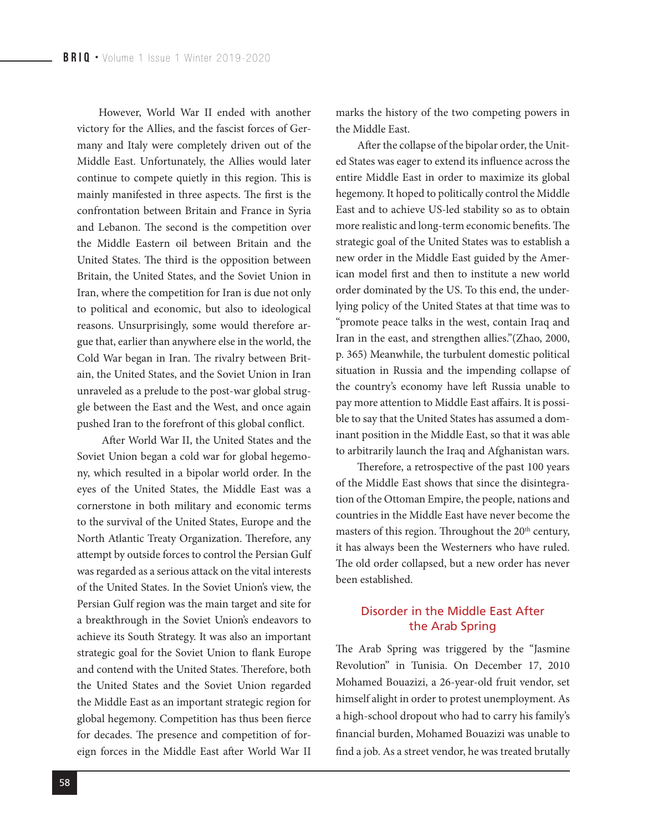However, World War II ended with another victory for the Allies, and the fascist forces of Germany and Italy were completely driven out of the Middle East. Unfortunately, the Allies would later continue to compete quietly in this region. This is mainly manifested in three aspects. The first is the confrontation between Britain and France in Syria and Lebanon. The second is the competition over the Middle Eastern oil between Britain and the United States. The third is the opposition between Britain, the United States, and the Soviet Union in Iran, where the competition for Iran is due not only to political and economic, but also to ideological reasons. Unsurprisingly, some would therefore argue that, earlier than anywhere else in the world, the Cold War began in Iran. The rivalry between Britain, the United States, and the Soviet Union in Iran unraveled as a prelude to the post-war global struggle between the East and the West, and once again pushed Iran to the forefront of this global conflict.

 After World War II, the United States and the Soviet Union began a cold war for global hegemony, which resulted in a bipolar world order. In the eyes of the United States, the Middle East was a cornerstone in both military and economic terms to the survival of the United States, Europe and the North Atlantic Treaty Organization. Therefore, any attempt by outside forces to control the Persian Gulf was regarded as a serious attack on the vital interests of the United States. In the Soviet Union's view, the Persian Gulf region was the main target and site for a breakthrough in the Soviet Union's endeavors to achieve its South Strategy. It was also an important strategic goal for the Soviet Union to flank Europe and contend with the United States. Therefore, both the United States and the Soviet Union regarded the Middle East as an important strategic region for global hegemony. Competition has thus been fierce for decades. The presence and competition of foreign forces in the Middle East after World War II

marks the history of the two competing powers in the Middle East.

After the collapse of the bipolar order, the United States was eager to extend its influence across the entire Middle East in order to maximize its global hegemony. It hoped to politically control the Middle East and to achieve US-led stability so as to obtain more realistic and long-term economic benefits. The strategic goal of the United States was to establish a new order in the Middle East guided by the American model first and then to institute a new world order dominated by the US. To this end, the underlying policy of the United States at that time was to "promote peace talks in the west, contain Iraq and Iran in the east, and strengthen allies."(Zhao, 2000, p. 365) Meanwhile, the turbulent domestic political situation in Russia and the impending collapse of the country's economy have left Russia unable to pay more attention to Middle East affairs. It is possible to say that the United States has assumed a dominant position in the Middle East, so that it was able to arbitrarily launch the Iraq and Afghanistan wars.

Therefore, a retrospective of the past 100 years of the Middle East shows that since the disintegration of the Ottoman Empire, the people, nations and countries in the Middle East have never become the masters of this region. Throughout the  $20^{\rm th}$  century, it has always been the Westerners who have ruled. The old order collapsed, but a new order has never been established.

### Disorder in the Middle East After the Arab Spring

The Arab Spring was triggered by the "Jasmine Revolution" in Tunisia. On December 17, 2010 Mohamed Bouazizi, a 26-year-old fruit vendor, set himself alight in order to protest unemployment. As a high-school dropout who had to carry his family's financial burden, Mohamed Bouazizi was unable to find a job. As a street vendor, he was treated brutally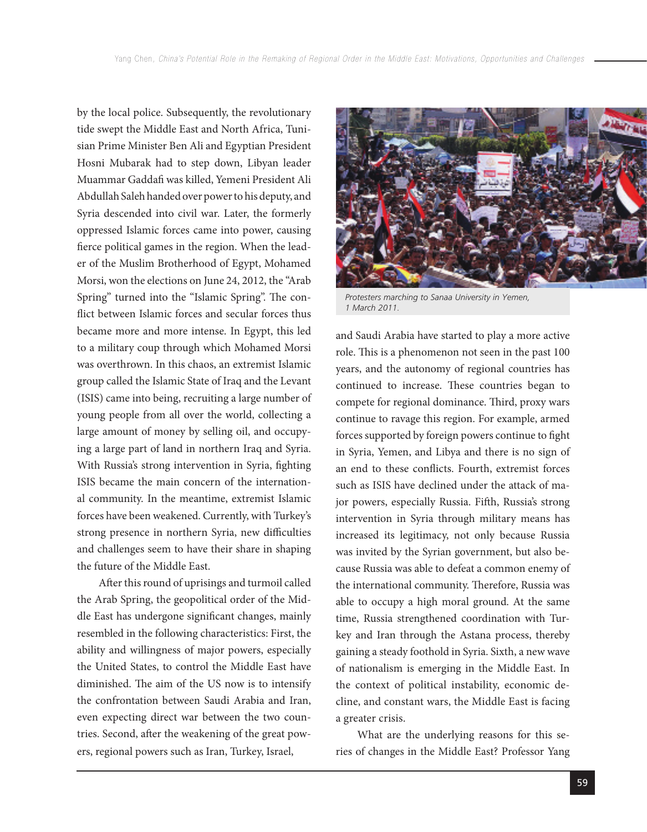by the local police. Subsequently, the revolutionary tide swept the Middle East and North Africa, Tunisian Prime Minister Ben Ali and Egyptian President Hosni Mubarak had to step down, Libyan leader Muammar Gaddafi was killed, Yemeni President Ali Abdullah Saleh handed over power to his deputy, and Syria descended into civil war. Later, the formerly oppressed Islamic forces came into power, causing fierce political games in the region. When the leader of the Muslim Brotherhood of Egypt, Mohamed Morsi, won the elections on June 24, 2012, the "Arab Spring" turned into the "Islamic Spring". The conflict between Islamic forces and secular forces thus became more and more intense. In Egypt, this led to a military coup through which Mohamed Morsi was overthrown. In this chaos, an extremist Islamic group called the Islamic State of Iraq and the Levant (ISIS) came into being, recruiting a large number of young people from all over the world, collecting a large amount of money by selling oil, and occupying a large part of land in northern Iraq and Syria. With Russia's strong intervention in Syria, fighting ISIS became the main concern of the international community. In the meantime, extremist Islamic forces have been weakened. Currently, with Turkey's strong presence in northern Syria, new difficulties and challenges seem to have their share in shaping the future of the Middle East.

After this round of uprisings and turmoil called the Arab Spring, the geopolitical order of the Middle East has undergone significant changes, mainly resembled in the following characteristics: First, the ability and willingness of major powers, especially the United States, to control the Middle East have diminished. The aim of the US now is to intensify the confrontation between Saudi Arabia and Iran, even expecting direct war between the two countries. Second, after the weakening of the great powers, regional powers such as Iran, Turkey, Israel,



*Protesters marching to Sanaa University in Yemen, 1 March 2011.*

and Saudi Arabia have started to play a more active role. This is a phenomenon not seen in the past 100 years, and the autonomy of regional countries has continued to increase. These countries began to compete for regional dominance. Third, proxy wars continue to ravage this region. For example, armed forces supported by foreign powers continue to fight in Syria, Yemen, and Libya and there is no sign of an end to these conflicts. Fourth, extremist forces such as ISIS have declined under the attack of major powers, especially Russia. Fifth, Russia's strong intervention in Syria through military means has increased its legitimacy, not only because Russia was invited by the Syrian government, but also because Russia was able to defeat a common enemy of the international community. Therefore, Russia was able to occupy a high moral ground. At the same time, Russia strengthened coordination with Turkey and Iran through the Astana process, thereby gaining a steady foothold in Syria. Sixth, a new wave of nationalism is emerging in the Middle East. In the context of political instability, economic decline, and constant wars, the Middle East is facing a greater crisis.

What are the underlying reasons for this series of changes in the Middle East? Professor Yang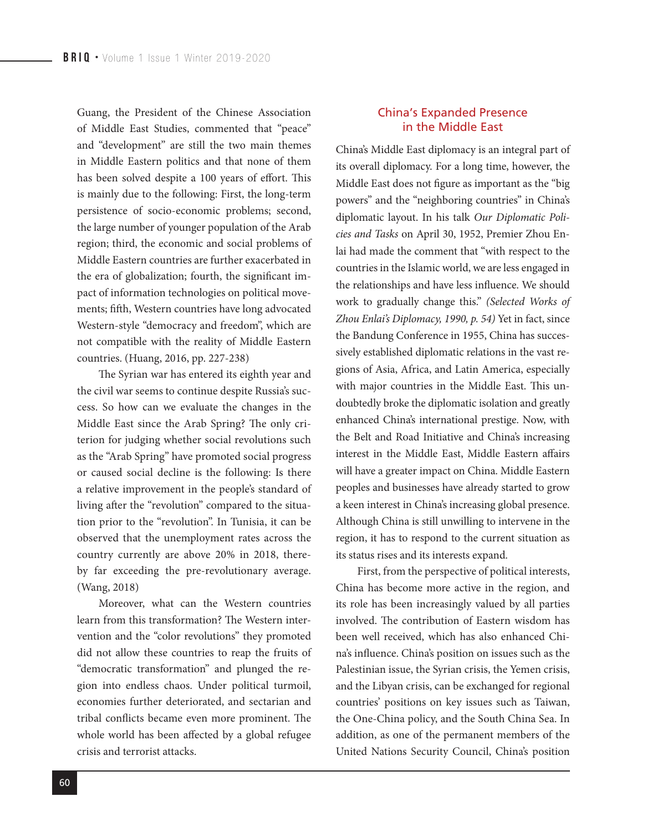Guang, the President of the Chinese Association of Middle East Studies, commented that "peace" and "development" are still the two main themes in Middle Eastern politics and that none of them has been solved despite a 100 years of effort. This is mainly due to the following: First, the long-term persistence of socio-economic problems; second, the large number of younger population of the Arab region; third, the economic and social problems of Middle Eastern countries are further exacerbated in the era of globalization; fourth, the significant impact of information technologies on political movements; fifth, Western countries have long advocated Western-style "democracy and freedom", which are not compatible with the reality of Middle Eastern countries. (Huang, 2016, pp. 227-238)

The Syrian war has entered its eighth year and the civil war seems to continue despite Russia's success. So how can we evaluate the changes in the Middle East since the Arab Spring? The only criterion for judging whether social revolutions such as the "Arab Spring" have promoted social progress or caused social decline is the following: Is there a relative improvement in the people's standard of living after the "revolution" compared to the situation prior to the "revolution". In Tunisia, it can be observed that the unemployment rates across the country currently are above 20% in 2018, thereby far exceeding the pre-revolutionary average. (Wang, 2018)

Moreover, what can the Western countries learn from this transformation? The Western intervention and the "color revolutions" they promoted did not allow these countries to reap the fruits of "democratic transformation" and plunged the region into endless chaos. Under political turmoil, economies further deteriorated, and sectarian and tribal conflicts became even more prominent. The whole world has been affected by a global refugee crisis and terrorist attacks.

#### China's Expanded Presence in the Middle East

China's Middle East diplomacy is an integral part of its overall diplomacy. For a long time, however, the Middle East does not figure as important as the "big powers" and the "neighboring countries" in China's diplomatic layout. In his talk *Our Diplomatic Policies and Tasks* on April 30, 1952, Premier Zhou Enlai had made the comment that "with respect to the countries in the Islamic world, we are less engaged in the relationships and have less influence. We should work to gradually change this." *(Selected Works of Zhou Enlai's Diplomacy, 1990, p. 54)* Yet in fact, since the Bandung Conference in 1955, China has successively established diplomatic relations in the vast regions of Asia, Africa, and Latin America, especially with major countries in the Middle East. This undoubtedly broke the diplomatic isolation and greatly enhanced China's international prestige. Now, with the Belt and Road Initiative and China's increasing interest in the Middle East, Middle Eastern affairs will have a greater impact on China. Middle Eastern peoples and businesses have already started to grow a keen interest in China's increasing global presence. Although China is still unwilling to intervene in the region, it has to respond to the current situation as its status rises and its interests expand.

First, from the perspective of political interests, China has become more active in the region, and its role has been increasingly valued by all parties involved. The contribution of Eastern wisdom has been well received, which has also enhanced China's influence. China's position on issues such as the Palestinian issue, the Syrian crisis, the Yemen crisis, and the Libyan crisis, can be exchanged for regional countries' positions on key issues such as Taiwan, the One-China policy, and the South China Sea. In addition, as one of the permanent members of the United Nations Security Council, China's position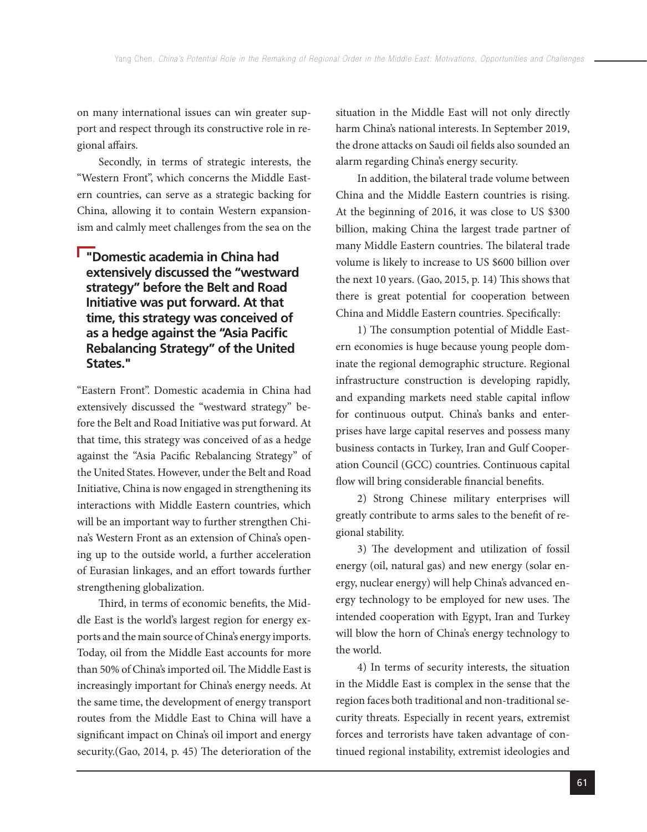on many international issues can win greater support and respect through its constructive role in regional affairs.

Secondly, in terms of strategic interests, the "Western Front", which concerns the Middle Eastern countries, can serve as a strategic backing for China, allowing it to contain Western expansionism and calmly meet challenges from the sea on the

# **"Domestic academia in China had extensively discussed the "westward strategy" before the Belt and Road Initiative was put forward. At that time, this strategy was conceived of as a hedge against the "Asia Pacific Rebalancing Strategy" of the United States."**

"Eastern Front". Domestic academia in China had extensively discussed the "westward strategy" before the Belt and Road Initiative was put forward. At that time, this strategy was conceived of as a hedge against the "Asia Pacific Rebalancing Strategy" of the United States. However, under the Belt and Road Initiative, China is now engaged in strengthening its interactions with Middle Eastern countries, which will be an important way to further strengthen China's Western Front as an extension of China's opening up to the outside world, a further acceleration of Eurasian linkages, and an effort towards further strengthening globalization.

Third, in terms of economic benefits, the Middle East is the world's largest region for energy exports and the main source of China's energy imports. Today, oil from the Middle East accounts for more than 50% of China's imported oil. The Middle East is increasingly important for China's energy needs. At the same time, the development of energy transport routes from the Middle East to China will have a significant impact on China's oil import and energy security.(Gao, 2014, p. 45) The deterioration of the

situation in the Middle East will not only directly harm China's national interests. In September 2019, the drone attacks on Saudi oil fields also sounded an alarm regarding China's energy security.

In addition, the bilateral trade volume between China and the Middle Eastern countries is rising. At the beginning of 2016, it was close to US \$300 billion, making China the largest trade partner of many Middle Eastern countries. The bilateral trade volume is likely to increase to US \$600 billion over the next 10 years. (Gao, 2015, p. 14) This shows that there is great potential for cooperation between China and Middle Eastern countries. Specifically:

1) The consumption potential of Middle Eastern economies is huge because young people dominate the regional demographic structure. Regional infrastructure construction is developing rapidly, and expanding markets need stable capital inflow for continuous output. China's banks and enterprises have large capital reserves and possess many business contacts in Turkey, Iran and Gulf Cooperation Council (GCC) countries. Continuous capital flow will bring considerable financial benefits.

2) Strong Chinese military enterprises will greatly contribute to arms sales to the benefit of regional stability.

3) The development and utilization of fossil energy (oil, natural gas) and new energy (solar energy, nuclear energy) will help China's advanced energy technology to be employed for new uses. The intended cooperation with Egypt, Iran and Turkey will blow the horn of China's energy technology to the world.

4) In terms of security interests, the situation in the Middle East is complex in the sense that the region faces both traditional and non-traditional security threats. Especially in recent years, extremist forces and terrorists have taken advantage of continued regional instability, extremist ideologies and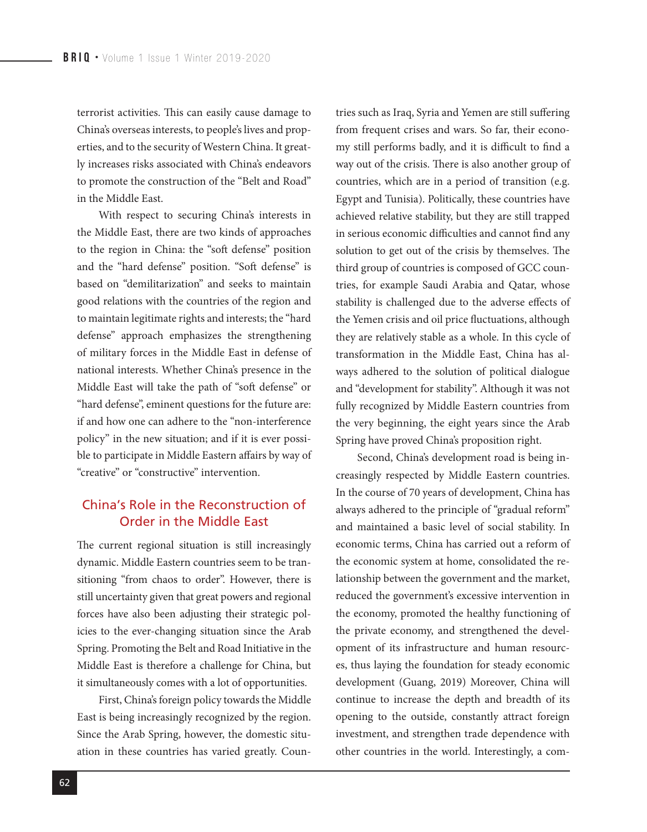terrorist activities. This can easily cause damage to China's overseas interests, to people's lives and properties, and to the security of Western China. It greatly increases risks associated with China's endeavors to promote the construction of the "Belt and Road" in the Middle East.

With respect to securing China's interests in the Middle East, there are two kinds of approaches to the region in China: the "soft defense" position and the "hard defense" position. "Soft defense" is based on "demilitarization" and seeks to maintain good relations with the countries of the region and to maintain legitimate rights and interests; the "hard defense" approach emphasizes the strengthening of military forces in the Middle East in defense of national interests. Whether China's presence in the Middle East will take the path of "soft defense" or "hard defense", eminent questions for the future are: if and how one can adhere to the "non-interference policy" in the new situation; and if it is ever possible to participate in Middle Eastern affairs by way of "creative" or "constructive" intervention.

# China's Role in the Reconstruction of Order in the Middle East

The current regional situation is still increasingly dynamic. Middle Eastern countries seem to be transitioning "from chaos to order". However, there is still uncertainty given that great powers and regional forces have also been adjusting their strategic policies to the ever-changing situation since the Arab Spring. Promoting the Belt and Road Initiative in the Middle East is therefore a challenge for China, but it simultaneously comes with a lot of opportunities.

First, China's foreign policy towards the Middle East is being increasingly recognized by the region. Since the Arab Spring, however, the domestic situation in these countries has varied greatly. Countries such as Iraq, Syria and Yemen are still suffering from frequent crises and wars. So far, their economy still performs badly, and it is difficult to find a way out of the crisis. There is also another group of countries, which are in a period of transition (e.g. Egypt and Tunisia). Politically, these countries have achieved relative stability, but they are still trapped in serious economic difficulties and cannot find any solution to get out of the crisis by themselves. The third group of countries is composed of GCC countries, for example Saudi Arabia and Qatar, whose stability is challenged due to the adverse effects of the Yemen crisis and oil price fluctuations, although they are relatively stable as a whole. In this cycle of transformation in the Middle East, China has always adhered to the solution of political dialogue and "development for stability". Although it was not fully recognized by Middle Eastern countries from the very beginning, the eight years since the Arab Spring have proved China's proposition right.

Second, China's development road is being increasingly respected by Middle Eastern countries. In the course of 70 years of development, China has always adhered to the principle of "gradual reform" and maintained a basic level of social stability. In economic terms, China has carried out a reform of the economic system at home, consolidated the relationship between the government and the market, reduced the government's excessive intervention in the economy, promoted the healthy functioning of the private economy, and strengthened the development of its infrastructure and human resources, thus laying the foundation for steady economic development (Guang, 2019) Moreover, China will continue to increase the depth and breadth of its opening to the outside, constantly attract foreign investment, and strengthen trade dependence with other countries in the world. Interestingly, a com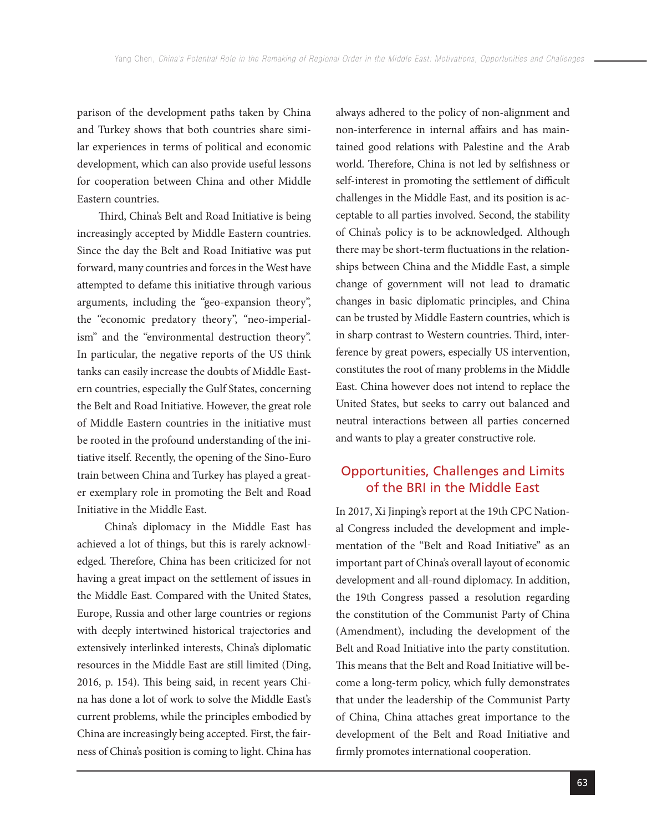parison of the development paths taken by China and Turkey shows that both countries share similar experiences in terms of political and economic development, which can also provide useful lessons for cooperation between China and other Middle Eastern countries.

Third, China's Belt and Road Initiative is being increasingly accepted by Middle Eastern countries. Since the day the Belt and Road Initiative was put forward, many countries and forces in the West have attempted to defame this initiative through various arguments, including the "geo-expansion theory", the "economic predatory theory", "neo-imperialism" and the "environmental destruction theory". In particular, the negative reports of the US think tanks can easily increase the doubts of Middle Eastern countries, especially the Gulf States, concerning the Belt and Road Initiative. However, the great role of Middle Eastern countries in the initiative must be rooted in the profound understanding of the initiative itself. Recently, the opening of the Sino-Euro train between China and Turkey has played a greater exemplary role in promoting the Belt and Road Initiative in the Middle East.

 China's diplomacy in the Middle East has achieved a lot of things, but this is rarely acknowledged. Therefore, China has been criticized for not having a great impact on the settlement of issues in the Middle East. Compared with the United States, Europe, Russia and other large countries or regions with deeply intertwined historical trajectories and extensively interlinked interests, China's diplomatic resources in the Middle East are still limited (Ding, 2016, p. 154). This being said, in recent years China has done a lot of work to solve the Middle East's current problems, while the principles embodied by China are increasingly being accepted. First, the fairness of China's position is coming to light. China has

always adhered to the policy of non-alignment and non-interference in internal affairs and has maintained good relations with Palestine and the Arab world. Therefore, China is not led by selfishness or self-interest in promoting the settlement of difficult challenges in the Middle East, and its position is acceptable to all parties involved. Second, the stability of China's policy is to be acknowledged. Although there may be short-term fluctuations in the relationships between China and the Middle East, a simple change of government will not lead to dramatic changes in basic diplomatic principles, and China can be trusted by Middle Eastern countries, which is in sharp contrast to Western countries. Third, interference by great powers, especially US intervention, constitutes the root of many problems in the Middle East. China however does not intend to replace the United States, but seeks to carry out balanced and neutral interactions between all parties concerned and wants to play a greater constructive role.

# Opportunities, Challenges and Limits of the BRI in the Middle East

In 2017, Xi Jinping's report at the 19th CPC National Congress included the development and implementation of the "Belt and Road Initiative" as an important part of China's overall layout of economic development and all-round diplomacy. In addition, the 19th Congress passed a resolution regarding the constitution of the Communist Party of China (Amendment), including the development of the Belt and Road Initiative into the party constitution. This means that the Belt and Road Initiative will become a long-term policy, which fully demonstrates that under the leadership of the Communist Party of China, China attaches great importance to the development of the Belt and Road Initiative and firmly promotes international cooperation.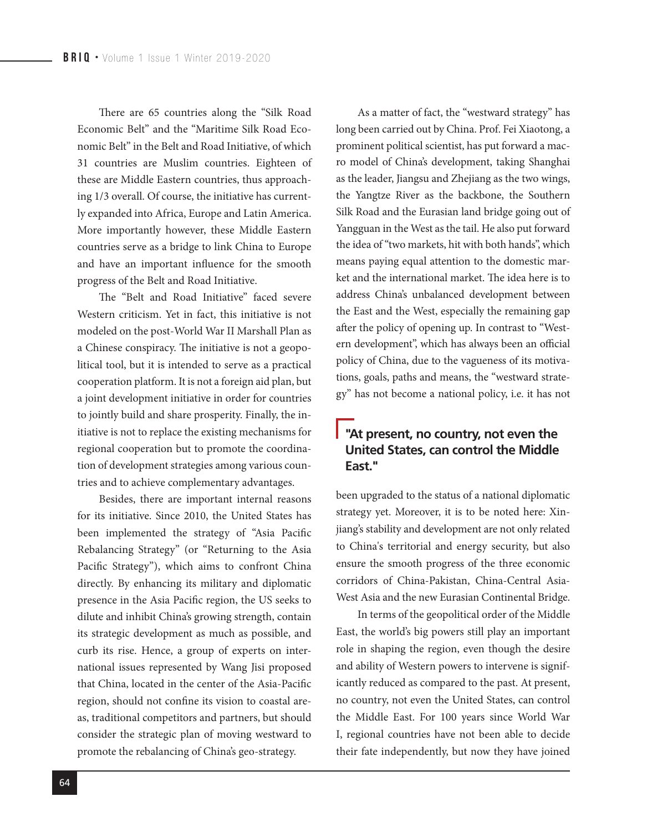There are 65 countries along the "Silk Road Economic Belt" and the "Maritime Silk Road Economic Belt" in the Belt and Road Initiative, of which 31 countries are Muslim countries. Eighteen of these are Middle Eastern countries, thus approaching 1/3 overall. Of course, the initiative has currently expanded into Africa, Europe and Latin America. More importantly however, these Middle Eastern countries serve as a bridge to link China to Europe and have an important influence for the smooth progress of the Belt and Road Initiative.

The "Belt and Road Initiative" faced severe Western criticism. Yet in fact, this initiative is not modeled on the post-World War II Marshall Plan as a Chinese conspiracy. The initiative is not a geopolitical tool, but it is intended to serve as a practical cooperation platform. It is not a foreign aid plan, but a joint development initiative in order for countries to jointly build and share prosperity. Finally, the initiative is not to replace the existing mechanisms for regional cooperation but to promote the coordination of development strategies among various countries and to achieve complementary advantages.

Besides, there are important internal reasons for its initiative. Since 2010, the United States has been implemented the strategy of "Asia Pacific Rebalancing Strategy" (or "Returning to the Asia Pacific Strategy"), which aims to confront China directly. By enhancing its military and diplomatic presence in the Asia Pacific region, the US seeks to dilute and inhibit China's growing strength, contain its strategic development as much as possible, and curb its rise. Hence, a group of experts on international issues represented by Wang Jisi proposed that China, located in the center of the Asia-Pacific region, should not confine its vision to coastal areas, traditional competitors and partners, but should consider the strategic plan of moving westward to promote the rebalancing of China's geo-strategy.

As a matter of fact, the "westward strategy" has long been carried out by China. Prof. Fei Xiaotong, a prominent political scientist, has put forward a macro model of China's development, taking Shanghai as the leader, Jiangsu and Zhejiang as the two wings, the Yangtze River as the backbone, the Southern Silk Road and the Eurasian land bridge going out of Yangguan in the West as the tail. He also put forward the idea of "two markets, hit with both hands", which means paying equal attention to the domestic market and the international market. The idea here is to address China's unbalanced development between the East and the West, especially the remaining gap after the policy of opening up. In contrast to "Western development", which has always been an official policy of China, due to the vagueness of its motivations, goals, paths and means, the "westward strategy" has not become a national policy, i.e. it has not

# **"At present, no country, not even the United States, can control the Middle East."**

been upgraded to the status of a national diplomatic strategy yet. Moreover, it is to be noted here: Xinjiang's stability and development are not only related to China's territorial and energy security, but also ensure the smooth progress of the three economic corridors of China-Pakistan, China-Central Asia-West Asia and the new Eurasian Continental Bridge.

In terms of the geopolitical order of the Middle East, the world's big powers still play an important role in shaping the region, even though the desire and ability of Western powers to intervene is significantly reduced as compared to the past. At present, no country, not even the United States, can control the Middle East. For 100 years since World War I, regional countries have not been able to decide their fate independently, but now they have joined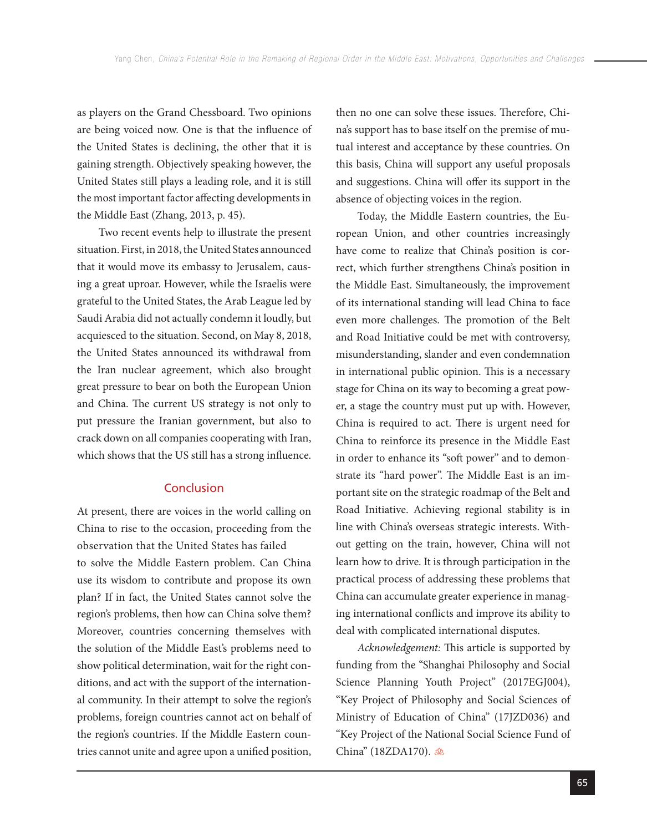as players on the Grand Chessboard. Two opinions are being voiced now. One is that the influence of the United States is declining, the other that it is gaining strength. Objectively speaking however, the United States still plays a leading role, and it is still the most important factor affecting developments in the Middle East (Zhang, 2013, p. 45).

Two recent events help to illustrate the present situation. First, in 2018, the United States announced that it would move its embassy to Jerusalem, causing a great uproar. However, while the Israelis were grateful to the United States, the Arab League led by Saudi Arabia did not actually condemn it loudly, but acquiesced to the situation. Second, on May 8, 2018, the United States announced its withdrawal from the Iran nuclear agreement, which also brought great pressure to bear on both the European Union and China. The current US strategy is not only to put pressure the Iranian government, but also to crack down on all companies cooperating with Iran, which shows that the US still has a strong influence.

#### **Conclusion**

At present, there are voices in the world calling on China to rise to the occasion, proceeding from the observation that the United States has failed to solve the Middle Eastern problem. Can China use its wisdom to contribute and propose its own plan? If in fact, the United States cannot solve the region's problems, then how can China solve them? Moreover, countries concerning themselves with the solution of the Middle East's problems need to show political determination, wait for the right conditions, and act with the support of the international community. In their attempt to solve the region's problems, foreign countries cannot act on behalf of the region's countries. If the Middle Eastern countries cannot unite and agree upon a unified position, then no one can solve these issues. Therefore, China's support has to base itself on the premise of mutual interest and acceptance by these countries. On this basis, China will support any useful proposals and suggestions. China will offer its support in the absence of objecting voices in the region.

Today, the Middle Eastern countries, the European Union, and other countries increasingly have come to realize that China's position is correct, which further strengthens China's position in the Middle East. Simultaneously, the improvement of its international standing will lead China to face even more challenges. The promotion of the Belt and Road Initiative could be met with controversy, misunderstanding, slander and even condemnation in international public opinion. This is a necessary stage for China on its way to becoming a great power, a stage the country must put up with. However, China is required to act. There is urgent need for China to reinforce its presence in the Middle East in order to enhance its "soft power" and to demonstrate its "hard power". The Middle East is an important site on the strategic roadmap of the Belt and Road Initiative. Achieving regional stability is in line with China's overseas strategic interests. Without getting on the train, however, China will not learn how to drive. It is through participation in the practical process of addressing these problems that China can accumulate greater experience in managing international conflicts and improve its ability to deal with complicated international disputes.

Acknowledgement: This article is supported by funding from the "Shanghai Philosophy and Social Science Planning Youth Project" (2017EGJ004), "Key Project of Philosophy and Social Sciences of Ministry of Education of China" (17JZD036) and "Key Project of the National Social Science Fund of China" (18ZDA170). 28